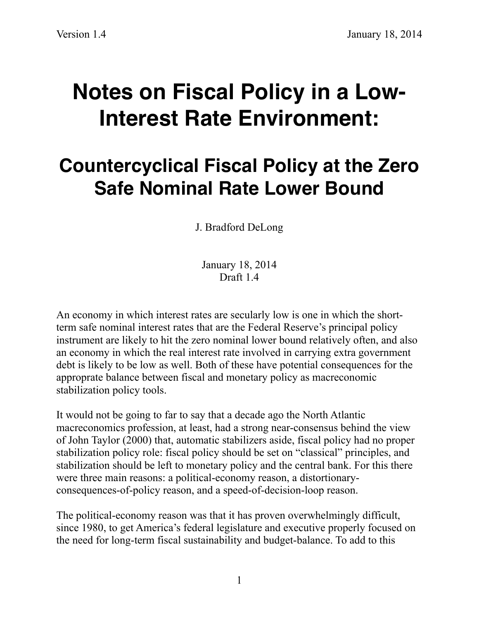## **Notes on Fiscal Policy in a Low-Interest Rate Environment:**

## **Countercyclical Fiscal Policy at the Zero Safe Nominal Rate Lower Bound**

J. Bradford DeLong

January 18, 2014 Draft 1.4

An economy in which interest rates are secularly low is one in which the shortterm safe nominal interest rates that are the Federal Reserve's principal policy instrument are likely to hit the zero nominal lower bound relatively often, and also an economy in which the real interest rate involved in carrying extra government debt is likely to be low as well. Both of these have potential consequences for the approprate balance between fiscal and monetary policy as macreconomic stabilization policy tools.

It would not be going to far to say that a decade ago the North Atlantic macreconomics profession, at least, had a strong near-consensus behind the view of John Taylor (2000) that, automatic stabilizers aside, fiscal policy had no proper stabilization policy role: fiscal policy should be set on "classical" principles, and stabilization should be left to monetary policy and the central bank. For this there were three main reasons: a political-economy reason, a distortionaryconsequences-of-policy reason, and a speed-of-decision-loop reason.

The political-economy reason was that it has proven overwhelmingly difficult, since 1980, to get America's federal legislature and executive properly focused on the need for long-term fiscal sustainability and budget-balance. To add to this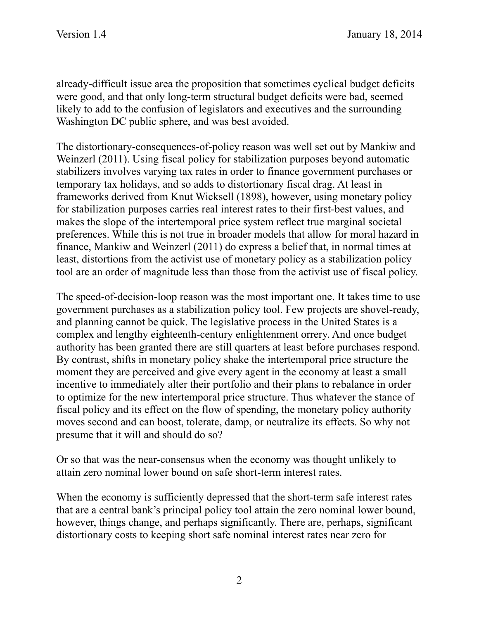already-difficult issue area the proposition that sometimes cyclical budget deficits were good, and that only long-term structural budget deficits were bad, seemed likely to add to the confusion of legislators and executives and the surrounding Washington DC public sphere, and was best avoided.

The distortionary-consequences-of-policy reason was well set out by Mankiw and Weinzerl (2011). Using fiscal policy for stabilization purposes beyond automatic stabilizers involves varying tax rates in order to finance government purchases or temporary tax holidays, and so adds to distortionary fiscal drag. At least in frameworks derived from Knut Wicksell (1898), however, using monetary policy for stabilization purposes carries real interest rates to their first-best values, and makes the slope of the intertemporal price system reflect true marginal societal preferences. While this is not true in broader models that allow for moral hazard in finance, Mankiw and Weinzerl (2011) do express a belief that, in normal times at least, distortions from the activist use of monetary policy as a stabilization policy tool are an order of magnitude less than those from the activist use of fiscal policy.

The speed-of-decision-loop reason was the most important one. It takes time to use government purchases as a stabilization policy tool. Few projects are shovel-ready, and planning cannot be quick. The legislative process in the United States is a complex and lengthy eighteenth-century enlightenment orrery. And once budget authority has been granted there are still quarters at least before purchases respond. By contrast, shifts in monetary policy shake the intertemporal price structure the moment they are perceived and give every agent in the economy at least a small incentive to immediately alter their portfolio and their plans to rebalance in order to optimize for the new intertemporal price structure. Thus whatever the stance of fiscal policy and its effect on the flow of spending, the monetary policy authority moves second and can boost, tolerate, damp, or neutralize its effects. So why not presume that it will and should do so?

Or so that was the near-consensus when the economy was thought unlikely to attain zero nominal lower bound on safe short-term interest rates.

When the economy is sufficiently depressed that the short-term safe interest rates that are a central bank's principal policy tool attain the zero nominal lower bound, however, things change, and perhaps significantly. There are, perhaps, significant distortionary costs to keeping short safe nominal interest rates near zero for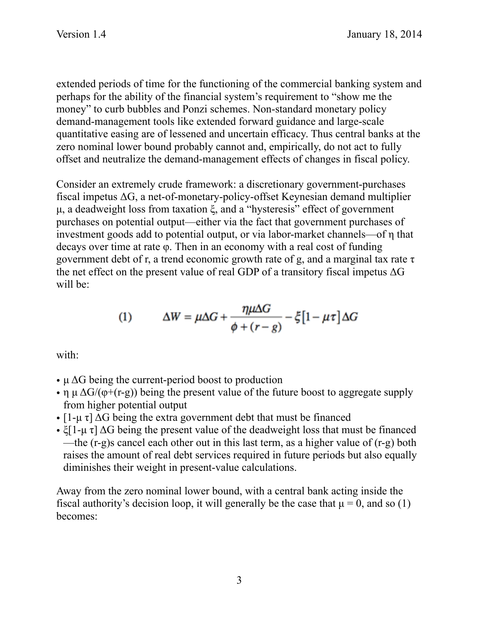extended periods of time for the functioning of the commercial banking system and perhaps for the ability of the financial system's requirement to "show me the money" to curb bubbles and Ponzi schemes. Non-standard monetary policy demand-management tools like extended forward guidance and large-scale quantitative easing are of lessened and uncertain efficacy. Thus central banks at the zero nominal lower bound probably cannot and, empirically, do not act to fully offset and neutralize the demand-management effects of changes in fiscal policy.

Consider an extremely crude framework: a discretionary government-purchases fiscal impetus ΔG, a net-of-monetary-policy-offset Keynesian demand multiplier µ, a deadweight loss from taxation ξ, and a "hysteresis" effect of government purchases on potential output—either via the fact that government purchases of investment goods add to potential output, or via labor-market channels—of η that decays over time at rate φ. Then in an economy with a real cost of funding government debt of r, a trend economic growth rate of g, and a marginal tax rate  $\tau$ the net effect on the present value of real GDP of a transitory fiscal impetus  $\Delta G$ will be:

(1) 
$$
\Delta W = \mu \Delta G + \frac{\eta \mu \Delta G}{\phi + (r - g)} - \xi \left[1 - \mu \tau\right] \Delta G
$$

with:

- $\mu \Delta G$  being the current-period boost to production
- η  $\mu \Delta G/(\phi + (r g))$  being the present value of the future boost to aggregate supply from higher potential output
- $[1-\mu \tau]$   $\Delta G$  being the extra government debt that must be financed
- ξ[1-μ τ]  $\Delta G$  being the present value of the deadweight loss that must be financed —the (r-g)s cancel each other out in this last term, as a higher value of (r-g) both raises the amount of real debt services required in future periods but also equally diminishes their weight in present-value calculations.

Away from the zero nominal lower bound, with a central bank acting inside the fiscal authority's decision loop, it will generally be the case that  $\mu = 0$ , and so (1) becomes: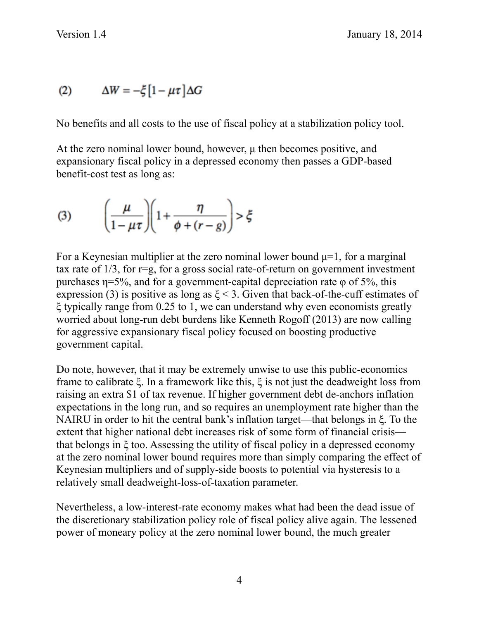$$
(2) \qquad \Delta W = -\xi \left[1 - \mu \tau\right] \Delta G
$$

No benefits and all costs to the use of fiscal policy at a stabilization policy tool.

At the zero nominal lower bound, however,  $\mu$  then becomes positive, and expansionary fiscal policy in a depressed economy then passes a GDP-based benefit-cost test as long as:

(3) 
$$
\left(\frac{\mu}{1-\mu\tau}\right)\left(1+\frac{\eta}{\phi+(r-g)}\right) > \xi
$$

For a Keynesian multiplier at the zero nominal lower bound  $\mu$ =1, for a marginal tax rate of  $1/3$ , for  $r=g$ , for a gross social rate-of-return on government investment purchases  $\eta = 5\%$ , and for a government-capital depreciation rate  $\varphi$  of 5%, this expression (3) is positive as long as  $\xi$  < 3. Given that back-of-the-cuff estimates of ξ typically range from 0.25 to 1, we can understand why even economists greatly worried about long-run debt burdens like Kenneth Rogoff (2013) are now calling for aggressive expansionary fiscal policy focused on boosting productive government capital.

Do note, however, that it may be extremely unwise to use this public-economics frame to calibrate ξ. In a framework like this, ξ is not just the deadweight loss from raising an extra \$1 of tax revenue. If higher government debt de-anchors inflation expectations in the long run, and so requires an unemployment rate higher than the NAIRU in order to hit the central bank's inflation target—that belongs in ξ. To the extent that higher national debt increases risk of some form of financial crisis that belongs in ξ too. Assessing the utility of fiscal policy in a depressed economy at the zero nominal lower bound requires more than simply comparing the effect of Keynesian multipliers and of supply-side boosts to potential via hysteresis to a relatively small deadweight-loss-of-taxation parameter.

Nevertheless, a low-interest-rate economy makes what had been the dead issue of the discretionary stabilization policy role of fiscal policy alive again. The lessened power of moneary policy at the zero nominal lower bound, the much greater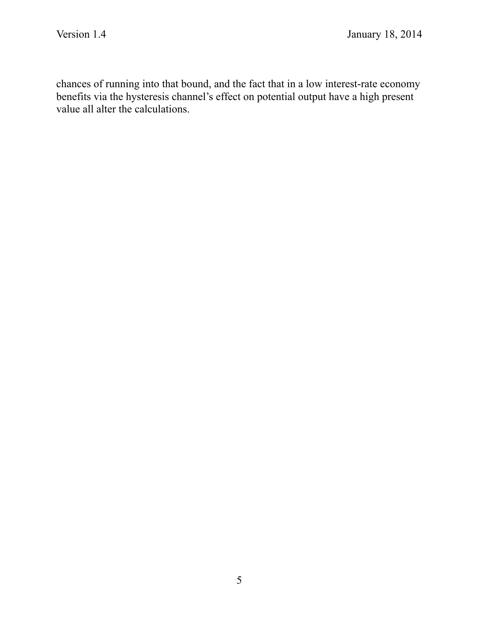chances of running into that bound, and the fact that in a low interest-rate economy benefits via the hysteresis channel's effect on potential output have a high present value all alter the calculations.